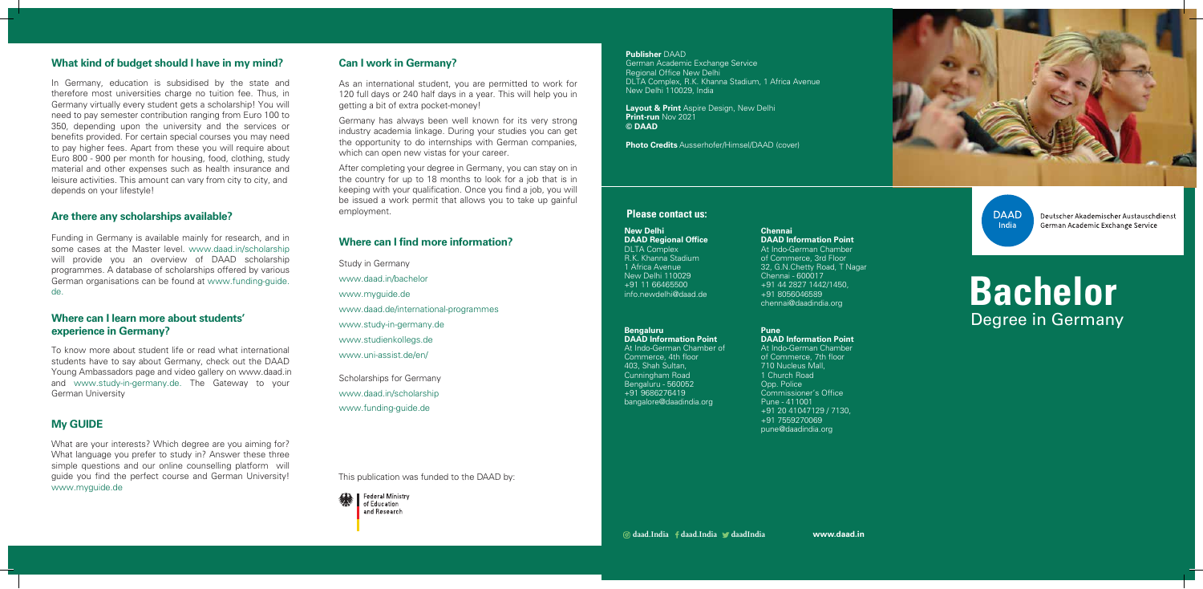**www.daad.in**

This publication was funded to the DAAD by:







**DAAD** India

Deutscher Akademischer Austauschdienst German Academic Exchange Service

### **Please contact us:**

### **Publisher** DAAD

German Academic Exchange Service Regional Office New Delhi DLTA Complex, R.K. Khanna Stadium, 1 Africa Avenue New Delhi 110029, India

# **Bachelor**  Degree in Germany

**Layout & Print** Aspire Design, New Delhi **Print-run** Nov 2021 **© DAAD**

**Photo Credits** Ausserhofer/Himsel/DAAD (cover)

# **What kind of budget should I have in my mind?**

In Germany, education is subsidised by the state and therefore most universities charge no tuition fee. Thus, in Germany virtually every student gets a scholarship! You will need to pay semester contribution ranging from Euro 100 to 350, depending upon the university and the services or benefits provided. For certain special courses you may need to pay higher fees. Apart from these you will require about Euro 800 - 900 per month for housing, food, clothing, study material and other expenses such as health insurance and leisure activities. This amount can vary from city to city, and depends on your lifestyle!

Germany has always been well known for its very strong industry academia linkage. During your studies you can get the opportunity to do internships with German companies, which can open new vistas for your career.

# **Are there any scholarships available?**

Funding in Germany is available mainly for research, and in some cases at the Master level. www.daad.in/scholarship will provide you an overview of DAAD scholarship programmes. A database of scholarships offered by various German organisations can be found at www.funding-guide. de.

# **Where can I learn more about students' experience in Germany?**

To know more about student life or read what international students have to say about Germany, check out the DAAD Young Ambassadors page and video gallery on www.daad.in and www.study-in-germany.de. The Gateway to your German University

### **My GUIDE**

What are your interests? Which degree are you aiming for? What language you prefer to study in? Answer these three simple questions and our online counselling platform will guide you find the perfect course and German University! www.myguide.de

# **Can I work in Germany?**

As an international student, you are permitted to work for 120 full days or 240 half days in a year. This will help you in getting a bit of extra pocket-money!

After completing your degree in Germany, you can stay on in the country for up to 18 months to look for a job that is in keeping with your qualification. Once you find a job, you will be issued a work permit that allows you to take up gainful employment.

# **Where can I find more information?**

Study in Germany www.daad.in/bachelor www.myguide.de www.daad.de/international-programmes www.study-in-germany.de www.studienkollegs.de www.uni-assist.de/en/

Scholarships for Germany www.daad.in/scholarship www.funding-guide.de

### **New Delhi DAAD Regional Office**

DLTA Complex R.K. Khanna Stadium 1 Africa Avenue New Delhi 110029 +91 11 66465500 info.newdelhi@daad.de

### **Bengaluru**

**DAAD Information Point** At Indo-German Chamber of Commerce, 4th floor 403, Shah Sultan, Cunningham Road Bengaluru - 560052 +91 9686276419 bangalore@daadindia.org

### **Chennai DAAD Information Point**

At Indo-German Chamber of Commerce, 3rd Floor 32, G.N.Chetty Road, T Nagar Chennai - 600017 +91 44 2827 1442/1450, +91 8056046589 chennai@daadindia.org

**Pune DAAD Information Point** At Indo-German Chamber of Commerce, 7th floor 710 Nucleus Mall, 1 Church Road Opp. Police Commissioner's Office Pune - 411001 +91 20 41047129 / 7130, +91 7559270069 pune@daadindia.org